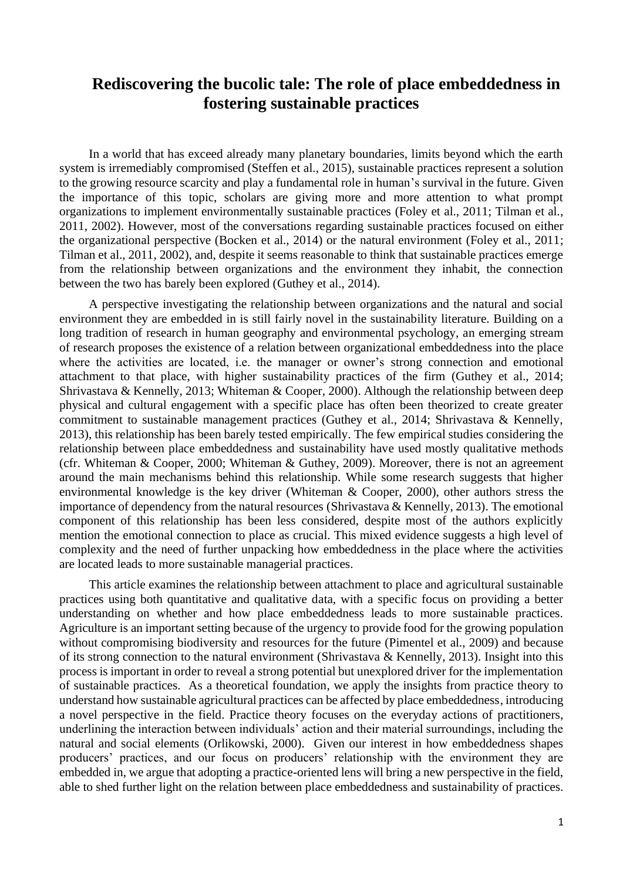## **Rediscovering the bucolic tale: The role of place embeddedness in fostering sustainable practices**

In a world that has exceed already many planetary boundaries, limits beyond which the earth system is irremediably compromised (Steffen et al., 2015), sustainable practices represent a solution to the growing resource scarcity and play a fundamental role in human's survival in the future. Given the importance of this topic, scholars are giving more and more attention to what prompt organizations to implement environmentally sustainable practices (Foley et al., 2011; Tilman et al., 2011, 2002). However, most of the conversations regarding sustainable practices focused on either the organizational perspective (Bocken et al., 2014) or the natural environment (Foley et al., 2011; Tilman et al., 2011, 2002), and, despite it seems reasonable to think that sustainable practices emerge from the relationship between organizations and the environment they inhabit, the connection between the two has barely been explored (Guthey et al., 2014).

A perspective investigating the relationship between organizations and the natural and social environment they are embedded in is still fairly novel in the sustainability literature. Building on a long tradition of research in human geography and environmental psychology, an emerging stream of research proposes the existence of a relation between organizational embeddedness into the place where the activities are located, i.e. the manager or owner's strong connection and emotional attachment to that place, with higher sustainability practices of the firm (Guthey et al., 2014; Shrivastava & Kennelly, 2013; Whiteman & Cooper, 2000). Although the relationship between deep physical and cultural engagement with a specific place has often been theorized to create greater commitment to sustainable management practices (Guthey et al., 2014; Shrivastava & Kennelly, 2013), this relationship has been barely tested empirically. The few empirical studies considering the relationship between place embeddedness and sustainability have used mostly qualitative methods (cfr. Whiteman & Cooper, 2000; Whiteman & Guthey, 2009). Moreover, there is not an agreement around the main mechanisms behind this relationship. While some research suggests that higher environmental knowledge is the key driver (Whiteman & Cooper, 2000), other authors stress the importance of dependency from the natural resources (Shrivastava & Kennelly, 2013). The emotional component of this relationship has been less considered, despite most of the authors explicitly mention the emotional connection to place as crucial. This mixed evidence suggests a high level of complexity and the need of further unpacking how embeddedness in the place where the activities are located leads to more sustainable managerial practices.

This article examines the relationship between attachment to place and agricultural sustainable practices using both quantitative and qualitative data, with a specific focus on providing a better understanding on whether and how place embeddedness leads to more sustainable practices. Agriculture is an important setting because of the urgency to provide food for the growing population without compromising biodiversity and resources for the future (Pimentel et al., 2009) and because of its strong connection to the natural environment (Shrivastava & Kennelly, 2013). Insight into this process is important in order to reveal a strong potential but unexplored driver for the implementation of sustainable practices. As a theoretical foundation, we apply the insights from practice theory to understand how sustainable agricultural practices can be affected by place embeddedness, introducing a novel perspective in the field. Practice theory focuses on the everyday actions of practitioners, underlining the interaction between individuals' action and their material surroundings, including the natural and social elements (Orlikowski, 2000). Given our interest in how embeddedness shapes producers' practices, and our focus on producers' relationship with the environment they are embedded in, we argue that adopting a practice-oriented lens will bring a new perspective in the field, able to shed further light on the relation between place embeddedness and sustainability of practices.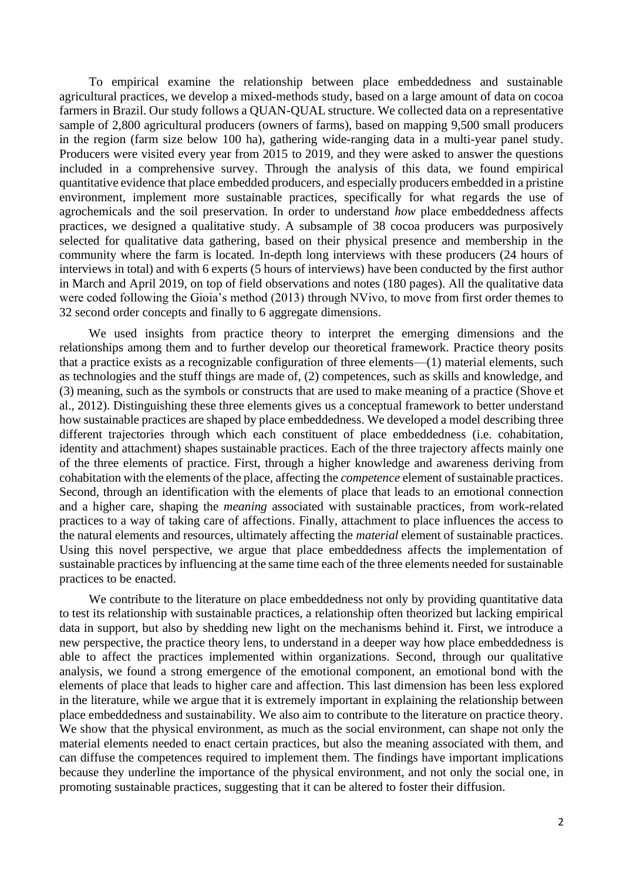To empirical examine the relationship between place embeddedness and sustainable agricultural practices, we develop a mixed-methods study, based on a large amount of data on cocoa farmers in Brazil. Our study follows a QUAN-QUAL structure. We collected data on a representative sample of 2,800 agricultural producers (owners of farms), based on mapping 9,500 small producers in the region (farm size below 100 ha), gathering wide-ranging data in a multi-year panel study. Producers were visited every year from 2015 to 2019, and they were asked to answer the questions included in a comprehensive survey. Through the analysis of this data, we found empirical quantitative evidence that place embedded producers, and especially producers embedded in a pristine environment, implement more sustainable practices, specifically for what regards the use of agrochemicals and the soil preservation. In order to understand *how* place embeddedness affects practices, we designed a qualitative study. A subsample of 38 cocoa producers was purposively selected for qualitative data gathering, based on their physical presence and membership in the community where the farm is located. In-depth long interviews with these producers (24 hours of interviews in total) and with 6 experts (5 hours of interviews) have been conducted by the first author in March and April 2019, on top of field observations and notes (180 pages). All the qualitative data were coded following the Gioia's method (2013) through NVivo, to move from first order themes to 32 second order concepts and finally to 6 aggregate dimensions.

We used insights from practice theory to interpret the emerging dimensions and the relationships among them and to further develop our theoretical framework. Practice theory posits that a practice exists as a recognizable configuration of three elements—(1) material elements, such as technologies and the stuff things are made of, (2) competences, such as skills and knowledge, and (3) meaning, such as the symbols or constructs that are used to make meaning of a practice (Shove et al., 2012). Distinguishing these three elements gives us a conceptual framework to better understand how sustainable practices are shaped by place embeddedness. We developed a model describing three different trajectories through which each constituent of place embeddedness (i.e. cohabitation, identity and attachment) shapes sustainable practices. Each of the three trajectory affects mainly one of the three elements of practice. First, through a higher knowledge and awareness deriving from cohabitation with the elements of the place, affecting the *competence* element of sustainable practices. Second, through an identification with the elements of place that leads to an emotional connection and a higher care, shaping the *meaning* associated with sustainable practices, from work-related practices to a way of taking care of affections. Finally, attachment to place influences the access to the natural elements and resources, ultimately affecting the *material* element of sustainable practices. Using this novel perspective, we argue that place embeddedness affects the implementation of sustainable practices by influencing at the same time each of the three elements needed for sustainable practices to be enacted.

We contribute to the literature on place embeddedness not only by providing quantitative data to test its relationship with sustainable practices, a relationship often theorized but lacking empirical data in support, but also by shedding new light on the mechanisms behind it. First, we introduce a new perspective, the practice theory lens, to understand in a deeper way how place embeddedness is able to affect the practices implemented within organizations. Second, through our qualitative analysis, we found a strong emergence of the emotional component, an emotional bond with the elements of place that leads to higher care and affection. This last dimension has been less explored in the literature, while we argue that it is extremely important in explaining the relationship between place embeddedness and sustainability. We also aim to contribute to the literature on practice theory. We show that the physical environment, as much as the social environment, can shape not only the material elements needed to enact certain practices, but also the meaning associated with them, and can diffuse the competences required to implement them. The findings have important implications because they underline the importance of the physical environment, and not only the social one, in promoting sustainable practices, suggesting that it can be altered to foster their diffusion.